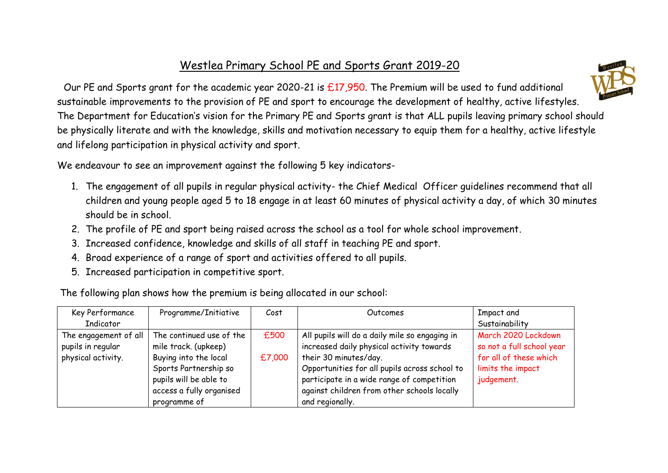## Westlea Primary School PE and Sports Grant 2019-20



Our PE and Sports grant for the academic year 2020-21 is £17,950. The Premium will be used to fund additional sustainable improvements to the provision of PE and sport to encourage the development of healthy, active lifestyles. The Department for Education's vision for the Primary PE and Sports grant is that ALL pupils leaving primary school should be physically literate and with the knowledge, skills and motivation necessary to equip them for a healthy, active lifestyle and lifelong participation in physical activity and sport.

We endeavour to see an improvement against the following 5 key indicators-

- 1. The engagement of all pupils in regular physical activity- the Chief Medical Officer guidelines recommend that all children and young people aged 5 to 18 engage in at least 60 minutes of physical activity a day, of which 30 minutes should be in school.
- 2. The profile of PE and sport being raised across the school as a tool for whole school improvement.
- 3. Increased confidence, knowledge and skills of all staff in teaching PE and sport.
- 4. Broad experience of a range of sport and activities offered to all pupils.
- 5. Increased participation in competitive sport.

The following plan shows how the premium is being allocated in our school:

| Key Performance       | Programme/Initiative     | Cost   | Outcomes                                       | Impact and                |
|-----------------------|--------------------------|--------|------------------------------------------------|---------------------------|
| Indicator             |                          |        |                                                | Sustainability            |
| The engagement of all | The continued use of the | £500   | All pupils will do a daily mile so engaging in | March 2020 Lockdown       |
| pupils in regular     | mile track. (upkeep)     |        | increased daily physical activity towards      | so not a full school year |
| physical activity.    | Buying into the local    | £7,000 | their 30 minutes/day.                          | for all of these which    |
|                       | Sports Partnership so    |        | Opportunities for all pupils across school to  | limits the impact         |
|                       | pupils will be able to   |        | participate in a wide range of competition     | judgement.                |
|                       | access a fully organised |        | against children from other schools locally    |                           |
|                       | programme of             |        | and regionally.                                |                           |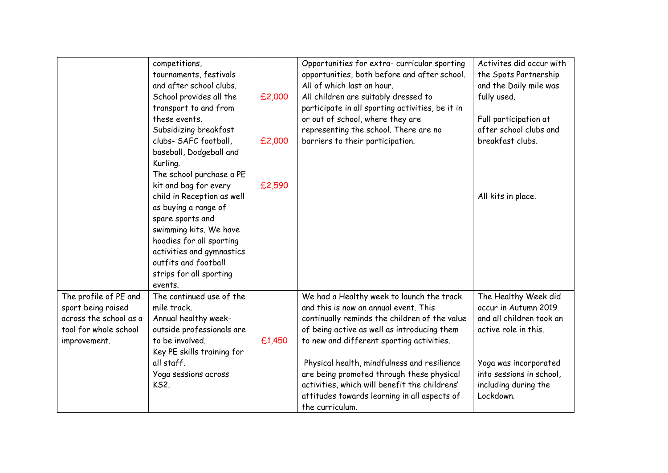|                                                                                                                | competitions,<br>tournaments, festivals<br>and after school clubs.<br>School provides all the<br>transport to and from<br>these events.<br>Subsidizing breakfast<br>clubs- SAFC football,<br>baseball, Dodgeball and<br>Kurling.<br>The school purchase a PE<br>kit and bag for every<br>child in Reception as well<br>as buying a range of<br>spare sports and<br>swimming kits. We have<br>hoodies for all sporting<br>activities and gymnastics<br>outfits and football<br>strips for all sporting<br>events. | £2,000<br>£2,000<br>£2,590 | Opportunities for extra- curricular sporting<br>opportunities, both before and after school.<br>All of which last an hour.<br>All children are suitably dressed to<br>participate in all sporting activities, be it in<br>or out of school, where they are<br>representing the school. There are no<br>barriers to their participation.                                                                                                         | Activites did occur with<br>the Spots Partnership<br>and the Daily mile was<br>fully used.<br>Full participation at<br>after school clubs and<br>breakfast clubs.<br>All kits in place.    |
|----------------------------------------------------------------------------------------------------------------|------------------------------------------------------------------------------------------------------------------------------------------------------------------------------------------------------------------------------------------------------------------------------------------------------------------------------------------------------------------------------------------------------------------------------------------------------------------------------------------------------------------|----------------------------|-------------------------------------------------------------------------------------------------------------------------------------------------------------------------------------------------------------------------------------------------------------------------------------------------------------------------------------------------------------------------------------------------------------------------------------------------|--------------------------------------------------------------------------------------------------------------------------------------------------------------------------------------------|
| The profile of PE and<br>sport being raised<br>across the school as a<br>tool for whole school<br>improvement. | The continued use of the<br>mile track.<br>Annual healthy week-<br>outside professionals are<br>to be involved.<br>Key PE skills training for<br>all staff.<br>Yoga sessions across<br><b>KS2.</b>                                                                                                                                                                                                                                                                                                               | £1,450                     | We had a Healthy week to launch the track<br>and this is now an annual event. This<br>continually reminds the children of the value<br>of being active as well as introducing them<br>to new and different sporting activities.<br>Physical health, mindfulness and resilience<br>are being promoted through these physical<br>activities, which will benefit the childrens'<br>attitudes towards learning in all aspects of<br>the curriculum. | The Healthy Week did<br>occur in Autumn 2019<br>and all children took an<br>active role in this.<br>Yoga was incorporated<br>into sessions in school,<br>including during the<br>Lockdown. |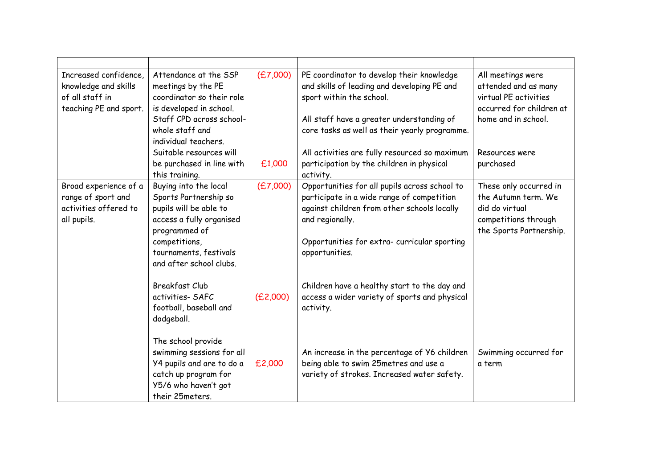| Increased confidence.<br>knowledge and skills<br>of all staff in<br>teaching PE and sport. | Attendance at the SSP<br>meetings by the PE<br>coordinator so their role<br>is developed in school.<br>Staff CPD across school-<br>whole staff and<br>individual teachers.<br>Suitable resources will<br>be purchased in line with<br>this training. | (E7,000)<br>£1,000 | PE coordinator to develop their knowledge<br>and skills of leading and developing PE and<br>sport within the school.<br>All staff have a greater understanding of<br>core tasks as well as their yearly programme.<br>All activities are fully resourced so maximum<br>participation by the children in physical<br>activity. | All meetings were<br>attended and as many<br>virtual PE activities<br>occurred for children at<br>home and in school.<br>Resources were<br>purchased |
|--------------------------------------------------------------------------------------------|------------------------------------------------------------------------------------------------------------------------------------------------------------------------------------------------------------------------------------------------------|--------------------|-------------------------------------------------------------------------------------------------------------------------------------------------------------------------------------------------------------------------------------------------------------------------------------------------------------------------------|------------------------------------------------------------------------------------------------------------------------------------------------------|
| Broad experience of a<br>range of sport and<br>activities offered to<br>all pupils.        | Buying into the local<br>Sports Partnership so<br>pupils will be able to<br>access a fully organised<br>programmed of<br>competitions,<br>tournaments, festivals<br>and after school clubs.                                                          | (E7,000)           | Opportunities for all pupils across school to<br>participate in a wide range of competition<br>against children from other schools locally<br>and regionally.<br>Opportunities for extra- curricular sporting<br>opportunities.                                                                                               | These only occurred in<br>the Autumn term. We<br>did do virtual<br>competitions through<br>the Sports Partnership.                                   |
|                                                                                            | <b>Breakfast Club</b><br>activities-SAFC<br>football, baseball and<br>dodgeball.                                                                                                                                                                     | (E2,000)           | Children have a healthy start to the day and<br>access a wider variety of sports and physical<br>activity.                                                                                                                                                                                                                    |                                                                                                                                                      |
|                                                                                            | The school provide<br>swimming sessions for all<br>Y4 pupils and are to do a<br>catch up program for<br>Y5/6 who haven't got<br>their 25meters.                                                                                                      | £2,000             | An increase in the percentage of Y6 children<br>being able to swim 25metres and use a<br>variety of strokes. Increased water safety.                                                                                                                                                                                          | Swimming occurred for<br>a term                                                                                                                      |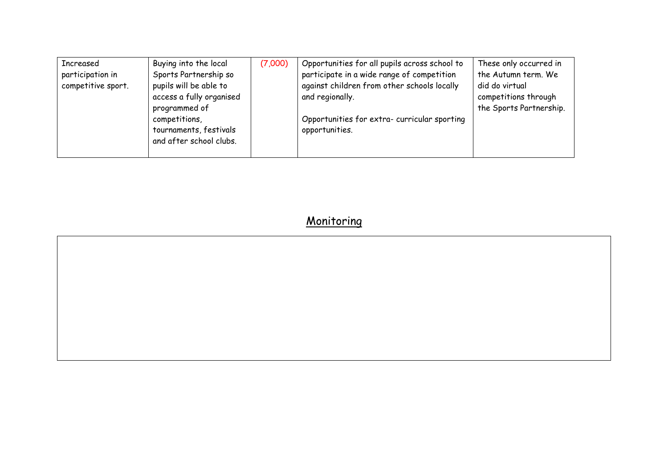| Increased                              | Buying into the local                                                               | (7,000) | Opportunities for all pupils across school to                                                                | These only occurred in                                        |
|----------------------------------------|-------------------------------------------------------------------------------------|---------|--------------------------------------------------------------------------------------------------------------|---------------------------------------------------------------|
| participation in<br>competitive sport. | Sports Partnership so<br>pupils will be able to<br>access a fully organised         |         | participate in a wide range of competition<br>against children from other schools locally<br>and regionally. | the Autumn term. We<br>did do virtual<br>competitions through |
|                                        | programmed of<br>competitions,<br>tournaments, festivals<br>and after school clubs. |         | Opportunities for extra-curricular sporting<br>opportunities.                                                | the Sports Partnership.                                       |

## **Monitoring**

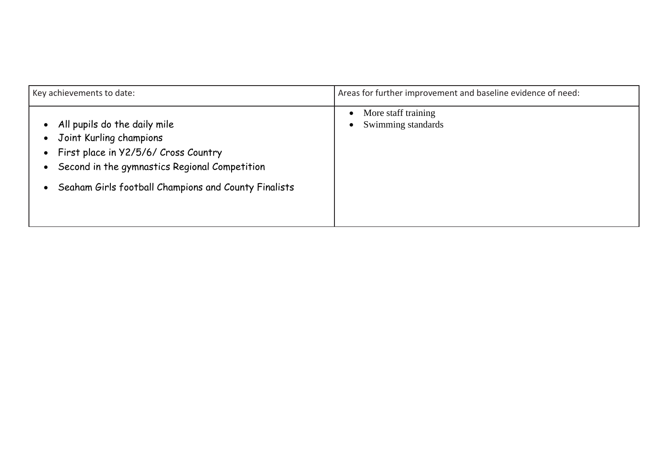| Key achievements to date:                                                                                                                                                                                | Areas for further improvement and baseline evidence of need:        |  |
|----------------------------------------------------------------------------------------------------------------------------------------------------------------------------------------------------------|---------------------------------------------------------------------|--|
| All pupils do the daily mile<br>Joint Kurling champions<br>First place in Y2/5/6/ Cross Country<br>Second in the gymnastics Regional Competition<br>Seaham Girls football Champions and County Finalists | More staff training<br>$\bullet$<br>Swimming standards<br>$\bullet$ |  |